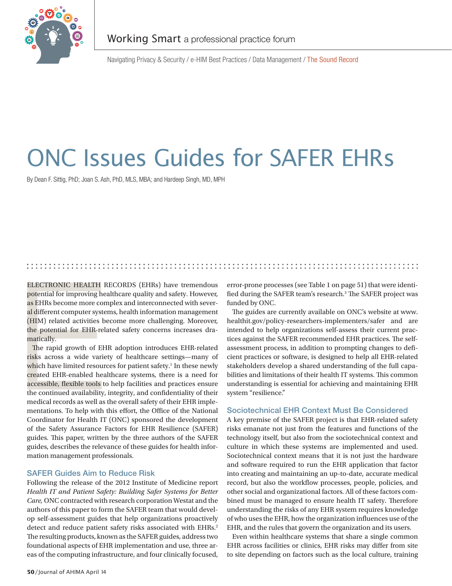

Navigating Privacy & Security / e-HIM Best Practices / Data Management / The Sound Record

# ONC Issues Guides for SAFER EHRs

By Dean F. Sittig, PhD; Joan S. Ash, PhD, MLS, MBA; and Hardeep Singh, MD, MPH

## ELECTRONIC HEALTH RECORDS (EHRs) have tremendous potential for improving healthcare quality and safety. However, as EHRs become more complex and interconnected with several different computer systems, health information management (HIM) related activities become more challenging. Moreover, the potential for EHR-related safety concerns increases dramatically.

ELECTRONIC HEALTH I<br>potential for improving he<br>as EHRs become more con<br>al different computer syste<br>(HIM) related activities b<br>the potential for EHR-rel<br>matically.<br>The rapid growth of EHR<br>risks across a wide varie<br>which hav The rapid growth of EHR adoption introduces EHR-related risks across a wide variety of healthcare settings—many of which have limited resources for patient safety.<sup>1</sup> In these newly created EHR-enabled healthcare systems, there is a need for accessible, flexible tools to help facilities and practices ensure the continued availability, integrity, and confidentiality of their medical records as well as the overall safety of their EHR implementations. To help with this effort, the Office of the National Coordinator for Health IT (ONC) sponsored the development of the Safety Assurance Factors for EHR Resilience (SAFER) guides. This paper, written by the three authors of the SAFER guides, describes the relevance of these guides for health information management professionals.

### SAFER Guides Aim to Reduce Risk

Following the release of the 2012 Institute of Medicine report *Health IT and Patient Safety: Building Safer Systems for Better Care,* ONC contracted with research corporation Westat and the authors of this paper to form the SAFER team that would develop self-assessment guides that help organizations proactively detect and reduce patient safety risks associated with EHRs.<sup>2</sup> The resulting products, known as the SAFER guides, address two foundational aspects of EHR implementation and use, three areas of the computing infrastructure, and four clinically focused,

error-prone processes (see Table 1 on page 51) that were identified during the SAFER team's research.<sup>3</sup> The SAFER project was funded by ONC.

The guides are currently available on ONC's website at www. healthit.gov/policy-researchers-implementers/safer and are intended to help organizations self-assess their current practices against the SAFER recommended EHR practices. The selfassessment process, in addition to prompting changes to deficient practices or software, is designed to help all EHR-related stakeholders develop a shared understanding of the full capabilities and limitations of their health IT systems. This common understanding is essential for achieving and maintaining EHR system "resilience."

#### Sociotechnical EHR Context Must Be Considered

A key premise of the SAFER project is that EHR-related safety risks emanate not just from the features and functions of the technology itself, but also from the sociotechnical context and culture in which these systems are implemented and used. Sociotechnical context means that it is not just the hardware and software required to run the EHR application that factor into creating and maintaining an up-to-date, accurate medical record, but also the workflow processes, people, policies, and other social and organizational factors. All of these factors combined must be managed to ensure health IT safety. Therefore understanding the risks of any EHR system requires knowledge of who uses the EHR, how the organization influences use of the EHR, and the rules that govern the organization and its users.

Even within healthcare systems that share a single common EHR across facilities or clinics, EHR risks may differ from site to site depending on factors such as the local culture, training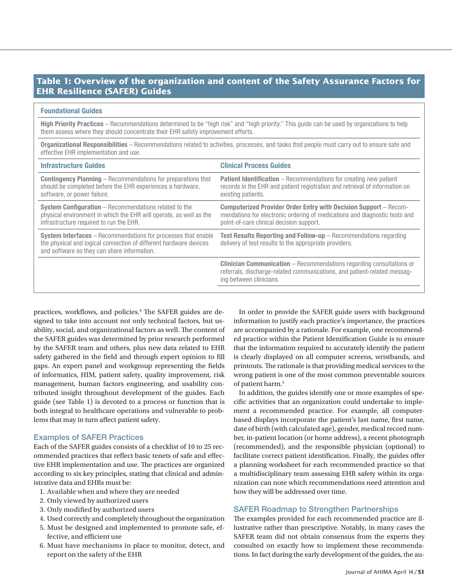# **Table 1: Overview of the organization and content of the Safety Assurance Factors for EHR Resilience (SAFER) Guides**

#### Foundational Guides

High Priority Practices - Recommendations determined to be "high risk" and "high priority." This guide can be used by organizations to help them assess where they should concentrate their EHR safety improvement efforts.

Organizational Responsibilities – Recommendations related to activities, processes, and tasks that people must carry out to ensure safe and effective EHR implementation and use.

| <b>Infrastructure Guides</b>                                                                                                                                                             | <b>Clinical Process Guides</b>                                                                                                                                                                    |
|------------------------------------------------------------------------------------------------------------------------------------------------------------------------------------------|---------------------------------------------------------------------------------------------------------------------------------------------------------------------------------------------------|
| <b>Contingency Planning – Recommendations for preparations that</b><br>should be completed before the EHR experiences a hardware,<br>software, or power failure.                         | <b>Patient Identification</b> – Recommendations for creating new patient<br>records in the EHR and patient registration and retrieval of information on<br>existing patients.                     |
| <b>System Configuration</b> – Recommendations related to the<br>physical environment in which the EHR will operate, as well as the<br>infrastructure required to run the EHR.            | <b>Computerized Provider Order Entry with Decision Support</b> – Recom-<br>mendations for electronic ordering of medications and diagnostic tests and<br>point-of-care clinical decision support. |
| <b>System Interfaces</b> – Recommendations for processes that enable<br>the physical and logical connection of different hardware devices<br>and software so they can share information. | <b>Test Results Reporting and Follow-up</b> – Recommendations regarding<br>delivery of test results to the appropriate providers.                                                                 |
|                                                                                                                                                                                          | <b>Clinician Communication</b> – Recommendations regarding consultations or<br>referrals, discharge-related communications, and patient-related messag-<br>ing between clinicians.                |

practices, workflows, and policies.4 The SAFER guides are designed to take into account not only technical factors, but usability, social, and organizational factors as well. The content of the SAFER guides was determined by prior research performed by the SAFER team and others, plus new data related to EHR safety gathered in the field and through expert opinion to fill gaps. An expert panel and workgroup representing the fields of informatics, HIM, patient safety, quality improvement, risk management, human factors engineering, and usability contributed insight throughout development of the guides. Each guide (see Table 1) is devoted to a process or function that is both integral to healthcare operations and vulnerable to problems that may in turn affect patient safety.

#### Examples of SAFER Practices

Each of the SAFER guides consists of a checklist of 10 to 25 recommended practices that reflect basic tenets of safe and effective EHR implementation and use. The practices are organized according to six key principles, stating that clinical and administrative data and EHRs must be:

- 1. Available when and where they are needed
- 2. Only viewed by authorized users
- 3. Only modified by authorized users
- 4. Used correctly and completely throughout the organization
- 5. Must be designed and implemented to promote safe, effective, and efficient use
- 6. Must have mechanisms in place to monitor, detect, and report on the safety of the EHR

In order to provide the SAFER guide users with background information to justify each practice's importance, the practices are accompanied by a rationale. For example, one recommended practice within the Patient Identification Guide is to ensure that the information required to accurately identify the patient is clearly displayed on all computer screens, wristbands, and printouts. The rationale is that providing medical services to the wrong patient is one of the most common preventable sources of patient harm.<sup>5</sup>

In addition, the guides identify one or more examples of specific activities that an organization could undertake to implement a recommended practice. For example, all computerbased displays incorporate the patient's last name, first name, date of birth (with calculated age), gender, medical record number, in-patient location (or home address), a recent photograph (recommended), and the responsible physician (optional) to facilitate correct patient identification. Finally, the guides offer a planning worksheet for each recommended practice so that a multidisciplinary team assessing EHR safety within its organization can note which recommendations need attention and how they will be addressed over time.

#### SAFER Roadmap to Strengthen Partnerships

The examples provided for each recommended practice are illustrative rather than prescriptive. Notably, in many cases the SAFER team did not obtain consensus from the experts they consulted on exactly how to implement these recommendations. In fact during the early development of the guides, the au